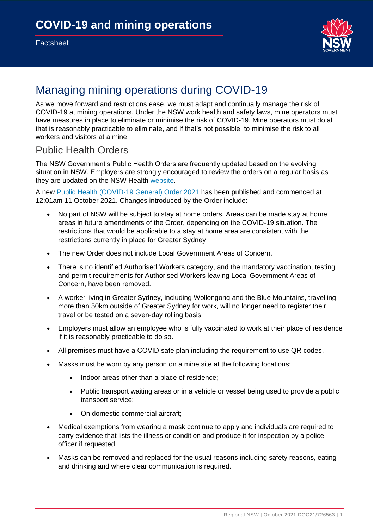

# Managing mining operations during COVID-19

As we move forward and restrictions ease, we must adapt and continually manage the risk of COVID-19 at mining operations. Under the NSW work health and safety laws, mine operators must have measures in place to eliminate or minimise the risk of COVID-19. Mine operators must do all that is reasonably practicable to eliminate, and if that's not possible, to minimise the risk to all workers and visitors at a mine.

#### Public Health Orders

The NSW Government's Public Health Orders are frequently updated based on the evolving situation in NSW. Employers are strongly encouraged to review the orders on a regular basis as they are updated on the NSW Health [website.](https://www.nsw.gov.au/covid-19/rules#rules-and-restrictions-for-your-area)

A new [Public Health \(COVID-19 General\) Order 2021](https://cst-freightbranchstakeholderengagement.cmail19.com/t/j-l-zlrlkkd-iklhtdvdd-y/) has been published and commenced at 12:01am 11 October 2021. Changes introduced by the Order include:

- No part of NSW will be subject to stay at home orders. Areas can be made stay at home areas in future amendments of the Order, depending on the COVID-19 situation. The restrictions that would be applicable to a stay at home area are consistent with the restrictions currently in place for Greater Sydney.
- The new Order does not include Local Government Areas of Concern.
- There is no identified Authorised Workers category, and the mandatory vaccination, testing and permit requirements for Authorised Workers leaving Local Government Areas of Concern, have been removed.
- A worker living in Greater Sydney, including Wollongong and the Blue Mountains, travelling more than 50km outside of Greater Sydney for work, will no longer need to register their travel or be tested on a seven-day rolling basis.
- Employers must allow an employee who is fully vaccinated to work at their place of residence if it is reasonably practicable to do so.
- All premises must have a COVID safe plan including the requirement to use QR codes.
- Masks must be worn by any person on a mine site at the following locations:
	- Indoor areas other than a place of residence;
	- Public transport waiting areas or in a vehicle or vessel being used to provide a public transport service;
	- On domestic commercial aircraft;
- Medical exemptions from wearing a mask continue to apply and individuals are required to carry evidence that lists the illness or condition and produce it for inspection by a police officer if requested.
- Masks can be removed and replaced for the usual reasons including safety reasons, eating and drinking and where clear communication is required.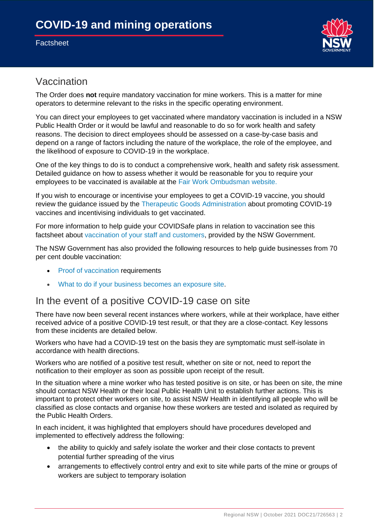#### **Factsheet**



## Vaccination

The Order does **not** require mandatory vaccination for mine workers. This is a matter for mine operators to determine relevant to the risks in the specific operating environment.

You can direct your employees to get vaccinated where mandatory vaccination is included in a NSW Public Health Order or it would be lawful and reasonable to do so for work health and safety reasons. The decision to direct employees should be assessed on a case-by-case basis and depend on a range of factors including the nature of the workplace, the role of the employee, and the likelihood of exposure to COVID-19 in the workplace.

One of the key things to do is to conduct a comprehensive work, health and safety risk assessment. Detailed guidance on how to assess whether it would be reasonable for you to require your employees to be vaccinated is available at the [Fair Work Ombudsman website.](https://cst-freightbranchstakeholderengagement.cmail19.com/t/j-l-zlrlkkd-iklhtdvdd-j/)

If you wish to encourage or incentivise your employees to get a COVID-19 vaccine, you should review the guidance issued by the [Therapeutic Goods Administration](https://cst-freightbranchstakeholderengagement.cmail19.com/t/j-l-zlrlkkd-iklhtdvdd-t/) about promoting COVID-19 vaccines and incentivising individuals to get vaccinated.

For more information to help guide your COVIDSafe plans in relation to vaccination see this factsheet about [vaccination of your staff and customers,](https://cst-freightbranchstakeholderengagement.cmail19.com/t/j-l-zlrlkkd-iklhtdvdd-i/) provided by the NSW Government.

The NSW Government has also provided the following resources to help guide businesses from 70 per cent double vaccination:

- [Proof of vaccination](https://cst-freightbranchstakeholderengagement.cmail19.com/t/j-l-zlrlkkd-iklhtdvdd-d/) requirements
- [What to do if your business becomes an exposure site.](https://cst-freightbranchstakeholderengagement.cmail19.com/t/j-l-zlrlkkd-iklhtdvdd-o/)

### In the event of a positive COVID-19 case on site

There have now been several recent instances where workers, while at their workplace, have either received advice of a positive COVID-19 test result, or that they are a close-contact. Key lessons from these incidents are detailed below.

Workers who have had a COVID-19 test on the basis they are symptomatic must self-isolate in accordance with health directions.

Workers who are notified of a positive test result, whether on site or not, need to report the notification to their employer as soon as possible upon receipt of the result.

In the situation where a mine worker who has tested positive is on site, or has been on site, the mine should contact NSW Health or their local Public Health Unit to establish further actions. This is important to protect other workers on site, to assist NSW Health in identifying all people who will be classified as close contacts and organise how these workers are tested and isolated as required by the Public Health Orders.

In each incident, it was highlighted that employers should have procedures developed and implemented to effectively address the following:

- the ability to quickly and safely isolate the worker and their close contacts to prevent potential further spreading of the virus
- arrangements to effectively control entry and exit to site while parts of the mine or groups of workers are subject to temporary isolation